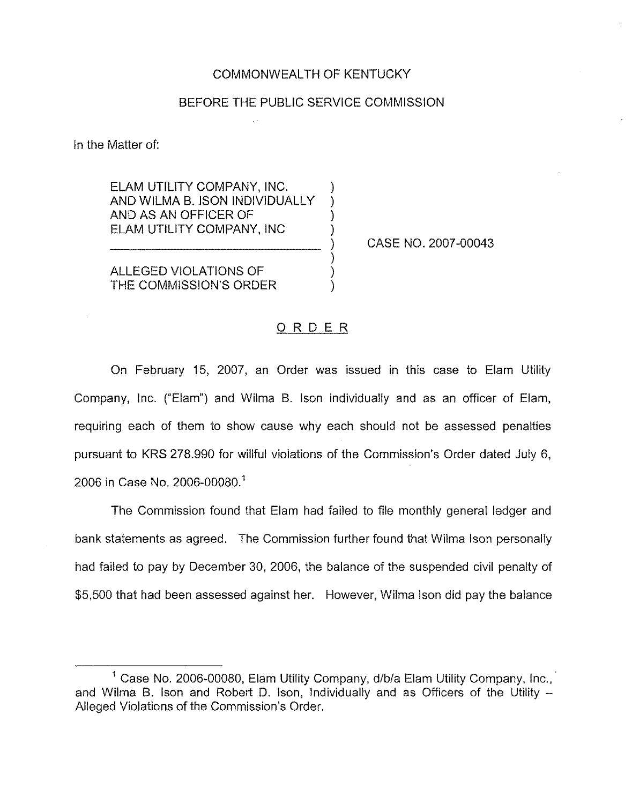### COMMONWEALTH OF KENTUCKY

### BEFORE THE PUBLIC SERVICE COMMISSION

In the Matter of:

ELAM UTILITY COMPANY, INC. ) AND WILMA B. ISON INDIVIDUALLY AND AS AN OFFICER OF ) ELAM UTILITY COMPANY, INC )

CASE NO. 2007-00043

ALLEGED VIOLATIONS OF THE COMMISSION'S ORDER

### ORDER

) ) ) )

On February 15, 2007, an Order was issued in this case to Elam Utility Company, Inc. ("Elam") and Wilma B. Ison individually and as an officer of Elam, requiring each of them to show cause why each should not be assessed penalties pursuant to KRS 278.990 for willful violations of the Commission's Order dated July 6, 2006 in Case No. 2006-00080.<sup>1</sup>

The Commission found that Elam had failed to file monthly general ledger and bank statements as agreed. The Commission further found that Wilma Ison personally had failed to pay by December 30, 2006, the balance of the suspended civil penalty of \$5,500 that had been assessed against her. However, Wiima ison did pay the balance

<sup>&</sup>lt;sup>1</sup> Case No. 2006-00080, Elam Utility Company, d/b/a Elam Utility Company, Inc., and Wilma B. Ison and Robert D. Ison, Individually and as Officers of the Utility -Alleged Violations of the Commission's Order.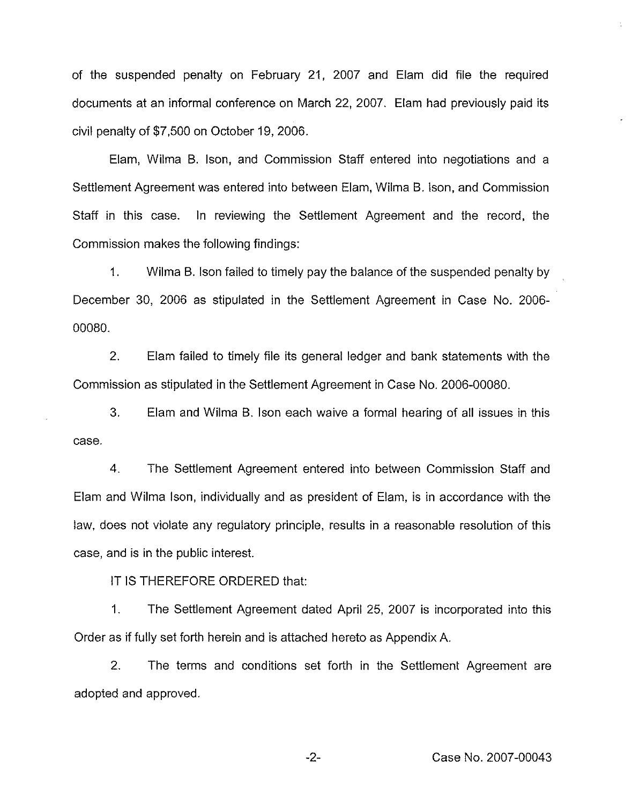of the suspended penalty on February 21, 2007 and Elam did file the required documents at an informal conference on March 22, 2007. Elam had previously paid its civil penalty of \$7,500 on October 19, 2006.

Elam, Wilma B. Ison, and Commission Staff entered into negotiations and a Settlement Agreement was entered into between Elam, Wilma B. Ison, and Commission Staff in this case. In reviewing the Settlement Agreement and the record, the Commission makes the following findings:

1. Wilma B. Ison failed to timely pay the balance of the suspended penalty by December 30, 2006 as stipulated in the Settlement Agreement in Case No. 2006- 00080.

2, Elam failed to timely file its general ledger and bank statements with the Commission as stipulated in the Settlement Agreement in Case No. 2006-00080.

3. Elam and Wilma B. Ison each waive a formal hearing of all issues in this case.

4. The Settlement Agreement entered into between Commission Staff and Elam and Wilma Ison, individually and as president of Elam, is in accordance with the law, does not violate any regulatory principle, results in a reasonable resolution of this case, and is in the public interest,

iT IS THEREFORE ORDERED that:

1. The Settlement Agreement dated April 25, 2007 is incorporated into this Order as if fully set forth herein and is attached hereto as Appendix A.

2. The terms and conditions set forth in the Settlement Agreement are adopted and approved.

-2- Case No. 2007-00043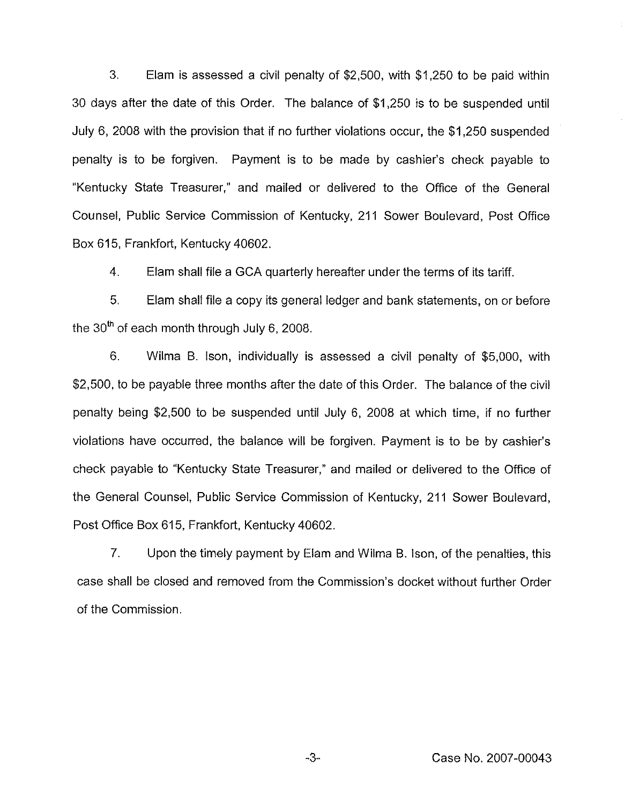3. Elam is assessed a civil penalty of \$2,500, with \$1,250 to be paid within 30 days after the date of this Order. The balance of \$1,250 is to be suspended until July 6, 2008 with the provision that if no further violations occur, the \$1,250 suspended penalty is to be forgiven. Payment is to be made by cashier's check payable to "Kentucky State Treasurer," and mailed or delivered to the Office of the General Counsel, Public Service Commission of Kentucky, 211 Sower Boulevard, Post Office Box 615, Frankfort, Kentucky 40602.

4. Elam shail file a GCA quarterly hereafter under the terms of its tariff.

5. Elam shall file a copy its general ledger and bank statements, on or before the 30<sup>th</sup> of each month through July 6, 2008.

6. Wilma B. Ison, individually is assessed a civil penalty of \$5,000, with \$2,500, to be payable three months after the date of this Order. The balance of the civil penalty being \$2,500 to be suspended until July 6, 2008 at which time, if no further violations have occurred, the balance will be forgiven. Payment is to be by cashier' check payable to "Kentucky State Treasurer," and mailed or delivered to the Office of the General Counsel, Public Service Commission of Kentucky, 211 Sower Boulevard, Post Office Box 615, Frankfort, Kentucky 40602.

7. Upon the timely payment by Elam and Wilma B. Ison, of the penalties, this case shall be closed and removed from the Commission's docket without further Order of the Commission.

 $-3-$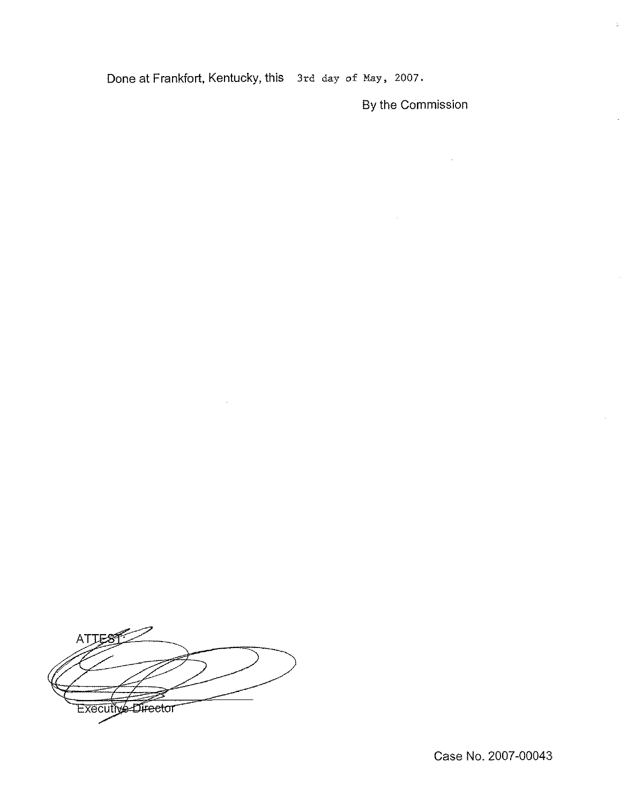Done at Frankfort, Kentucky, this 3rd day of May, 2007.

 $\ddot{\phantom{a}}$ 

By the Commission

 $\frac{1}{40}$ 

**ATTES** Executive Director

Case No. 2007-00043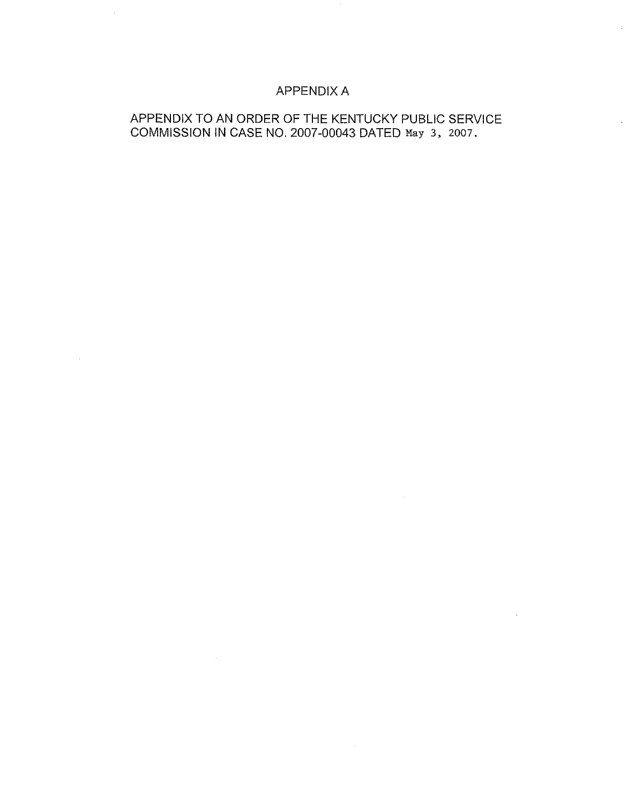# APPENDIX A

 $\sim$ 

 $\mathcal{A}^{\mathrm{c}}$  .

# APPENDIX TO AN ORDER OF THE KENTUCKY PUBLIC SERVICE COMMISSION IN CASE NO. 2007-00043 DATED May 3, 2007.

 $\sim 10^6$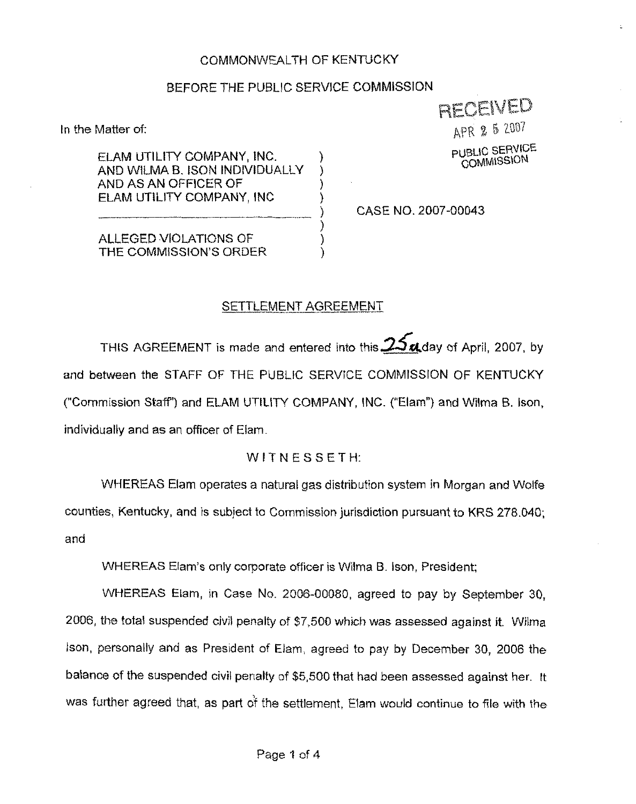## COMMONWEALTH QF KENTUCKY

# BEFORE THE PUBLIC SERVICE COMMISSION

)

) ) )

In the Matter of:

RECEVED APR 2 5 2007

PUBLIC SERVICE<br>COMMISSION

ELAM UTILITY COMPANY, INC. AND WILMA B. ISON INDIVIDUALI Y AND AS AN OFFICER QF ELAM UTILITY COMPANY, INC

) CASE NO. 2007-00043

ALLEGED VIOLATIONS OF THE COMMISSION'S ORDER

### SETTLEMENT AGREEMENT

THIS AGREEMENT is made and entered into this  $25$  and ay of April, 2007, by and between the STAFF OF THE PUBLIC SERVICE COMMISSION OF KENTUCKY {"Commission Staff') and ELAM UTIUTY COMPANY, INC. {"Elam") and Wilma B. Ison, individually and as an officer of Elam.

### WITNESSETH:

WHEREAS Elarn operates a natural gas distribution system in Morgan and Wolfe counties, Kentucky, and is subject to Commission jurisdiction pursuant to KRS 278.040; and

WHEREAS Elam's only corporate officer is Wilma B. Ison, President;

WHEREAS Elam, in Case No. 2006-00080, agreed to pay by September 30, 2006, the total suspended civil penalty of 67,500 which was assessed against it. Wilma Ison, personally and as President of Elarn, agreed to pay by December 30, 2006 the balance of the suspended civil penalty cf \$5,500 that had been assessed against her. It was further agreed that, as part of the settlement, Elam would continue to file with the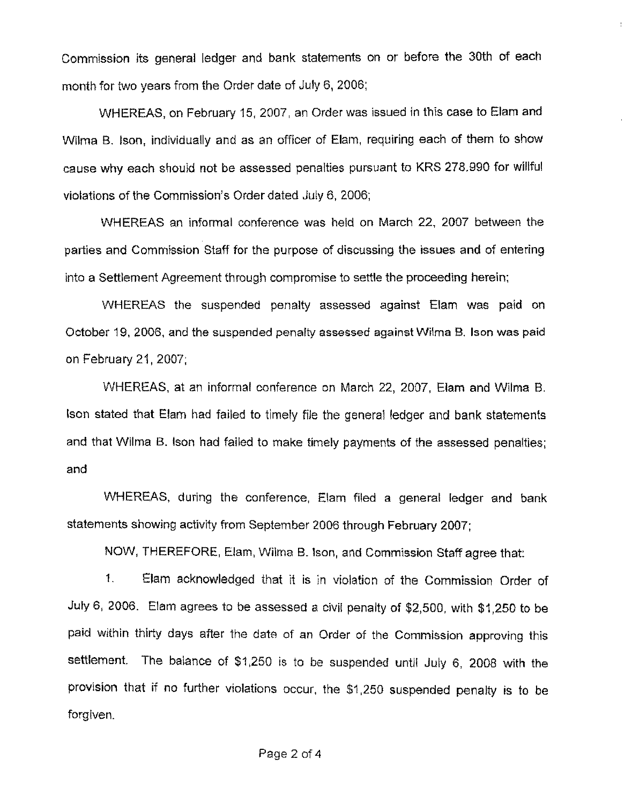Commission its general ledger and bank statements on or before the 30th of each month for two years from the Order date of July 6, 2006;

WHEREAS, on February 15, 2007, an Order was issued in this case to Elarn and Wilrna B. Ison, individually and as an officer of Elam, requiring each of them to show cause why each should not be assessed penalties pursuant to KRS 278.990 for willful violations of the Commission's Order dated July 6, 2006;

WHEREAS an informal conference was held on March 22, 2007 between the parties and Commission Staff for the purpose of discussing the issues and of entering into a Settlement Agreement through compromise to settle the proceeding herein;

WHEREAS the suspended penalty assessed against Elam was paid on October 19, 2006, and the suspended penalty assessed against Wilma B. Ison was paid on February 21, 2007;

WHEREAS, at an informal conference on March 22, 2007, Eiam and Wilma B. lson stated that Elam had failed to timely file the general ledger and bank statements and that Wilrna B. lson had failed to make timely payments of the assessed penalties; and

WHEREAS, during the conference, Elam filed a general ledger and bank statements showing activity from September 2006 through February 2007;

NOW, THEREFORE, Elarn, Wilrna B. lson, and Commission Staff agree that:

1. Elam acknowledged that it is in violation of the Commission Order of July 6, 2006. Elam agrees to be assessed a civil penalty of \$2,500, with \$ 1,250 to be paid within thirty days after the date of an Order of the Commission approving this settlement. The balance of \$1,250 is to be suspended until July 6, 2008 with the provision that if no further violations occur, the \$1,250 suspended penalty is to be forgiven.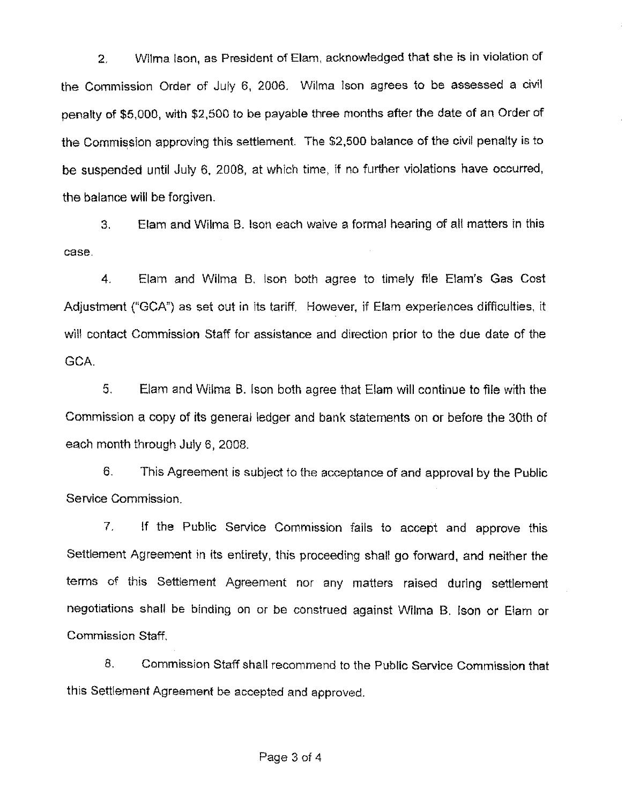2. Wiima lson, as President of Elam, acknowledged that she is in violation of the Commission Order of July 6, 2006. Wilma Ison agrees to be assessed a civil penalty of \$5,000, with \$2,500 to be payable three months after the date of an Order of the Commission approving this settlement. The \$2,500 balance of the civil penalty is to be suspended until July 6, 2008, at which time, if no further violations have occurred, the balance will be forgiven.

3, Elam and Wilma B. lscn each waive a formal hearing of all matters in this case.

4. Elam and Wilrna B, lson both agree to timely file Eiam's Gas Cost Adjustment ("GCA"}as set out in its tariff. However, if Elam experiences difficulties, it will contact Commission Staff for assistance and direction prior to the due date of the GCA.

5. Elam and Wilma B. ison both agree that Elam will continue to file with the Commission a copy of its general ledger and bank statements on or before the 30th of each month through July 6, 2008.

6. This Agreement is subject to the acceptance of and approval by the Public Service Commission.

7. lf the Public Service Commission fails to accept and approve this Settlement Agreement in its entirety, this proceeding shall go forward, and neither the terms of this Settiement Agreement nor any matters raised during settlement negotiations shall be binding on or be construed against Wilrna B. leon or Elam or Commission Staff.

8. Commission Staff shall recommend to the Public Service Commission that this Settlement Agreement be accepted and approved.